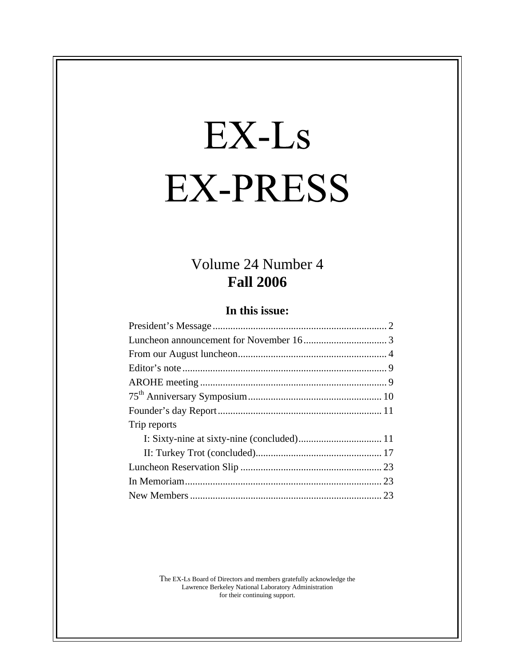# EX-Ls **EX-PRESS**

# Volume 24 Number 4<br>Fall 2006 **Fall 2006**

#### **In this issue:**

The EX-Ls Board of Directors and members gratefully acknowledge the Lawrence Berkeley National Laboratory Administration for their continuing support.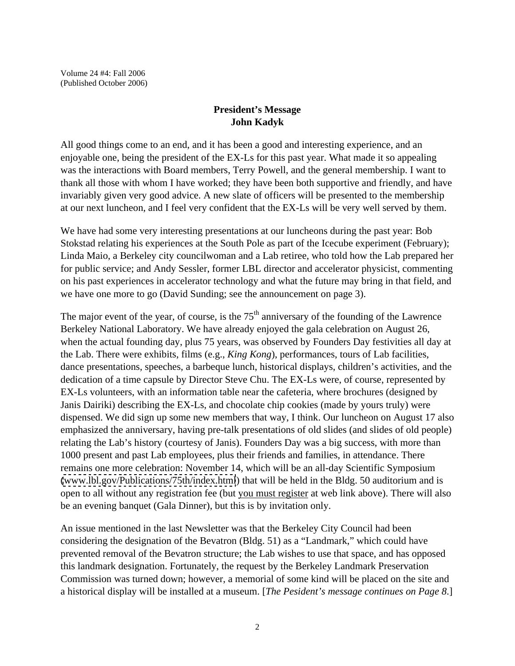#### **President's Message John Kadyk**

All good things come to an end, and it has been a good and interesting experience, and an enjoyable one, being the president of the EX-Ls for this past year. What made it so appealing was the interactions with Board members, Terry Powell, and the general membership. I want to thank all those with whom I have worked; they have been both supportive and friendly, and have invariably given very good advice. A new slate of officers will be presented to the membership at our next luncheon, and I feel very confident that the EX-Ls will be very well served by them.

We have had some very interesting presentations at our luncheons during the past year: Bob Stokstad relating his experiences at the South Pole as part of the Icecube experiment (February); Linda Maio, a Berkeley city councilwoman and a Lab retiree, who told how the Lab prepared her for public service; and Andy Sessler, former LBL director and accelerator physicist, commenting on his past experiences in accelerator technology and what the future may bring in that field, and we have one more to go (David Sunding; see the announcement on page 3).

The major event of the year, of course, is the  $75<sup>th</sup>$  anniversary of the founding of the Lawrence Berkeley National Laboratory. We have already enjoyed the gala celebration on August 26, when the actual founding day, plus 75 years, was observed by Founders Day festivities all day at the Lab. There were exhibits, films (e.g., *King Kong*), performances, tours of Lab facilities, dance presentations, speeches, a barbeque lunch, historical displays, children's activities, and the dedication of a time capsule by Director Steve Chu. The EX-Ls were, of course, represented by EX-Ls volunteers, with an information table near the cafeteria, where brochures (designed by Janis Dairiki) describing the EX-Ls, and chocolate chip cookies (made by yours truly) were dispensed. We did sign up some new members that way, I think. Our luncheon on August 17 also emphasized the anniversary, having pre-talk presentations of old slides (and slides of old people) relating the Lab's history (courtesy of Janis). Founders Day was a big success, with more than 1000 present and past Lab employees, plus their friends and families, in attendance. There remains one more celebration: November 14, which will be an all-day Scientific Symposium [\(www.lbl.gov/Publications/75th/index.html](http://www.lbl.gov/Publications/75th/index.html)) that will be held in the Bldg. 50 auditorium and is open to all without any registration fee (but you must register at web link above). There will also be an evening banquet (Gala Dinner), but this is by invitation only.

An issue mentioned in the last Newsletter was that the Berkeley City Council had been considering the designation of the Bevatron (Bldg. 51) as a "Landmark," which could have prevented removal of the Bevatron structure; the Lab wishes to use that space, and has opposed this landmark designation. Fortunately, the request by the Berkeley Landmark Preservation Commission was turned down; however, a memorial of some kind will be placed on the site and a historical display will be installed at a museum. [*The Pesident's message continues on Page 8*.]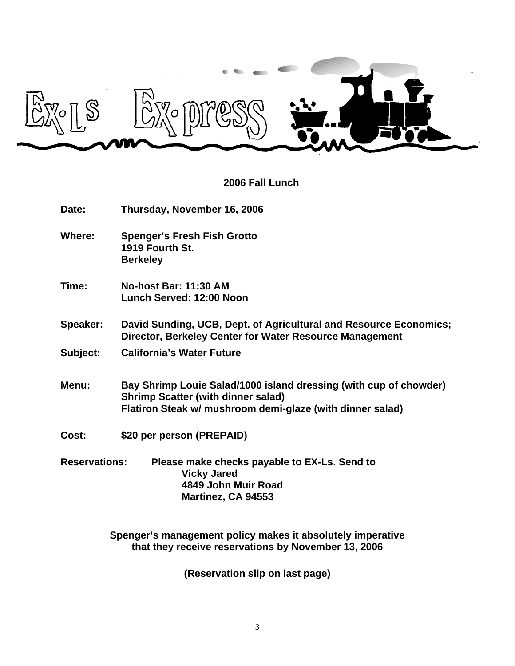

#### **2006 Fall Lunch**

| Date:                | Thursday, November 16, 2006                                                                                                                                                 |  |
|----------------------|-----------------------------------------------------------------------------------------------------------------------------------------------------------------------------|--|
| <b>Where:</b>        | <b>Spenger's Fresh Fish Grotto</b><br>1919 Fourth St.<br><b>Berkeley</b>                                                                                                    |  |
| Time:                | No-host Bar: 11:30 AM<br>Lunch Served: 12:00 Noon                                                                                                                           |  |
| <b>Speaker:</b>      | David Sunding, UCB, Dept. of Agricultural and Resource Economics;<br>Director, Berkeley Center for Water Resource Management                                                |  |
| Subject:             | <b>California's Water Future</b>                                                                                                                                            |  |
| Menu:                | Bay Shrimp Louie Salad/1000 island dressing (with cup of chowder)<br><b>Shrimp Scatter (with dinner salad)</b><br>Flatiron Steak w/ mushroom demi-glaze (with dinner salad) |  |
| Cost:                | \$20 per person (PREPAID)                                                                                                                                                   |  |
| <b>Reservations:</b> | Please make checks payable to EX-Ls. Send to<br><b>Vicky Jared</b><br>4849 John Muir Road<br>Martinez, CA 94553                                                             |  |

**Spenger's management policy makes it absolutely imperative that they receive reservations by November 13, 2006**

**(Reservation slip on last page)**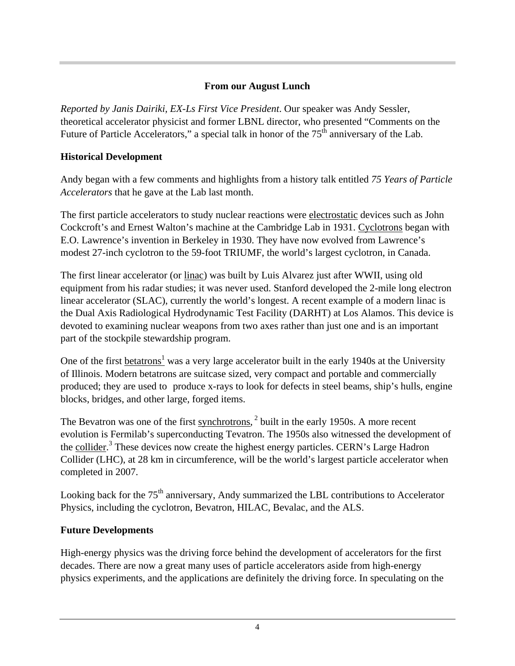#### **From our August Lunch**

*Reported by Janis Dairiki, EX-Ls First Vice President*. Our speaker was Andy Sessler, theoretical accelerator physicist and former LBNL director, who presented "Comments on the Future of Particle Accelerators," a special talk in honor of the  $75<sup>th</sup>$  anniversary of the Lab.

#### **Historical Development**

Andy began with a few comments and highlights from a history talk entitled *75 Years of Particle Accelerators* that he gave at the Lab last month.

The first particle accelerators to study nuclear reactions were electrostatic devices such as John Cockcroft's and Ernest Walton's machine at the Cambridge Lab in 1931. Cyclotrons began with E.O. Lawrence's invention in Berkeley in 1930. They have now evolved from Lawrence's modest 27-inch cyclotron to the 59-foot TRIUMF, the world's largest cyclotron, in Canada.

The first linear accelerator (or <u>linac</u>) was built by Luis Alvarez just after WWII, using old equipment from his radar studies; it was never used. Stanford developed the 2-mile long electron linear accelerator (SLAC), currently the world's longest. A recent example of a modern linac is the Dual Axis Radiological Hydrodynamic Test Facility (DARHT) at Los Alamos. This device is devoted to examining nuclear weapons from two axes rather than just one and is an important part of the stockpile stewardship program.

One of the first **betatrons**<sup>1</sup> was a very large accelerator built in the early 1940s at the University of Illinois. Modern betatrons are suitcase sized, very compact and portable and commercially produced; they are used to produce x-rays to look for defects in steel beams, ship's hulls, engine blocks, bridges, and other large, forged items.

The Bevatron was one of the first synchrotrons, <sup>2</sup> built in the early 1950s. A more recent evolution is Fermilab's superconducting Tevatron. The 1950s also witnessed the development of the collider.<sup>3</sup> These devices now create the highest energy particles. CERN's Large Hadron Collider (LHC), at 28 km in circumference, will be the world's largest particle accelerator when completed in 2007.

Looking back for the  $75<sup>th</sup>$  anniversary, Andy summarized the LBL contributions to Accelerator Physics, including the cyclotron, Bevatron, HILAC, Bevalac, and the ALS.

#### **Future Developments**

High-energy physics was the driving force behind the development of accelerators for the first decades. There are now a great many uses of particle accelerators aside from high-energy physics experiments, and the applications are definitely the driving force. In speculating on the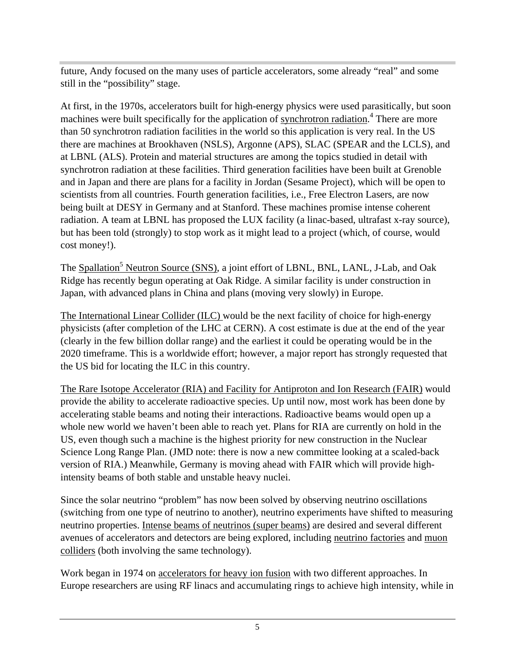future, Andy focused on the many uses of particle accelerators, some already "real" and some still in the "possibility" stage.

At first, in the 1970s, accelerators built for high-energy physics were used parasitically, but soon machines were built specifically for the application of <u>synchrotron radiation</u>.<sup>4</sup> There are more than 50 synchrotron radiation facilities in the world so this application is very real. In the US there are machines at Brookhaven (NSLS), Argonne (APS), SLAC (SPEAR and the LCLS), and at LBNL (ALS). Protein and material structures are among the topics studied in detail with synchrotron radiation at these facilities. Third generation facilities have been built at Grenoble and in Japan and there are plans for a facility in Jordan (Sesame Project), which will be open to scientists from all countries. Fourth generation facilities, i.e., Free Electron Lasers, are now being built at DESY in Germany and at Stanford. These machines promise intense coherent radiation. A team at LBNL has proposed the LUX facility (a linac-based, ultrafast x-ray source), but has been told (strongly) to stop work as it might lead to a project (which, of course, would

cost money!).<br>The <u>Spallation<sup>5</sup> Neutron Source (SNS)</u>, a joint effort of LBNL, BNL, LANL, J-Lab, and Oak Ridge has recently begun operating at Oak Ridge. A similar facility is under construction in Japan, with advanced plans in China and plans (moving very slowly) in Europe.

The International Linear Collider (ILC) would be the next facility of choice for high-energy physicists (after completion of the LHC at CERN). A cost estimate is due at the end of the year (clearly in the few billion dollar range) and the earliest it could be operating would be in the 2020 timeframe. This is a worldwide effort; however, a major report has strongly requested that the US bid for locating the ILC in this country.

The Rare Isotope Accelerator (RIA) and Facility for Antiproton and Ion Research (FAIR) would provide the ability to accelerate radioactive species. Up until now, most work has been done by accelerating stable beams and noting their interactions. Radioactive beams would open up a whole new world we haven't been able to reach yet. Plans for RIA are currently on hold in the US, even though such a machine is the highest priority for new construction in the Nuclear Science Long Range Plan. (JMD note: there is now a new committee looking at a scaled-back version of RIA.) Meanwhile, Germany is moving ahead with FAIR which will provide highintensity beams of both stable and unstable heavy nuclei.

Since the solar neutrino "problem" has now been solved by observing neutrino oscillations (switching from one type of neutrino to another), neutrino experiments have shifted to measuring neutrino properties. Intense beams of neutrinos (super beams) are desired and several different avenues of accelerators and detectors are being explored, including neutrino factories and muon colliders (both involving the same technology).

Work began in 1974 on accelerators for heavy ion fusion with two different approaches. In Europe researchers are using RF linacs and accumulating rings to achieve high intensity, while in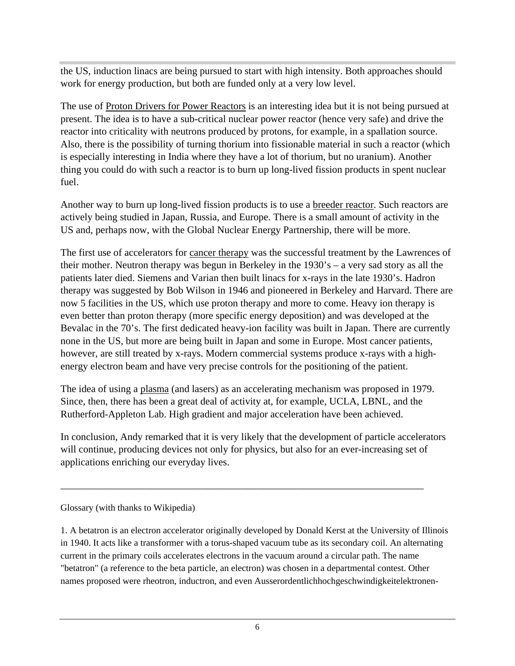the US, induction linacs are being pursued to start with high intensity. Both approaches should work for energy production, but both are funded only at a very low level.

The use of Proton Drivers for Power Reactors is an interesting idea but it is not being pursued at present. The idea is to have a sub-critical nuclear power reactor (hence very safe) and drive the reactor into criticality with neutrons produced by protons, for example, in a spallation source. Also, there is the possibility of turning thorium into fissionable material in such a reactor (which is especially interesting in India where they have a lot of thorium, but no uranium). Another thing you could do with such a reactor is to burn up long-lived fission products in spent nuclear fuel.

Another way to burn up long-lived fission products is to use a breeder reactor. Such reactors are actively being studied in Japan, Russia, and Europe. There is a small amount of activity in the US and, perhaps now, with the Global Nuclear Energy Partnership, there will be more.

The first use of accelerators for cancer therapy was the successful treatment by the Lawrences of their mother. Neutron therapy was begun in Berkeley in the 1930's – a very sad story as all the patients later died. Siemens and Varian then built linacs for x-rays in the late 1930's. Hadron therapy was suggested by Bob Wilson in 1946 and pioneered in Berkeley and Harvard. There are now 5 facilities in the US, which use proton therapy and more to come. Heavy ion therapy is even better than proton therapy (more specific energy deposition) and was developed at the Bevalac in the 70's. The first dedicated heavy-ion facility was built in Japan. There are currently none in the US, but more are being built in Japan and some in Europe. Most cancer patients, however, are still treated by x-rays. Modern commercial systems produce x-rays with a high energy electron beam and have very precise controls for the positioning of the patient.

The idea of using a plasma (and lasers) as an accelerating mechanism was proposed in 1979. Since, then, there has been a great deal of activity at, for example, UCLA, LBNL, and the Rutherford-Appleton Lab. High gradient and major acceleration have been achieved.

In conclusion, Andy remarked that it is very likely that the development of particle accelerators will continue, producing devices not only for physics, but also for an ever-increasing set of applications enriching our everyday lives.

\_\_\_\_\_\_\_\_\_\_\_\_\_\_\_\_\_\_\_\_\_\_\_\_\_\_\_\_\_\_\_\_\_\_\_\_\_\_\_\_\_\_\_\_\_\_\_\_\_\_\_\_\_\_\_\_\_\_\_\_\_\_\_\_\_\_\_\_\_\_\_\_ Glossary (with thanks to Wikipedia)

1. A betatron is an electron accelerator originally developed by Donald Kerst at the University of Illinois in 1940. It acts like a transformer with a torus-shaped vacuum tube as its secondary coil. An alternating current in the primary coils accelerates electrons in the vacuum around a circular path. The name "betatron" (a reference to the beta particle, an electron) was chosen in a departmental contest. Other names proposed were rheotron, inductron, and even Ausserordentlichhochgeschwindigkeitelektronen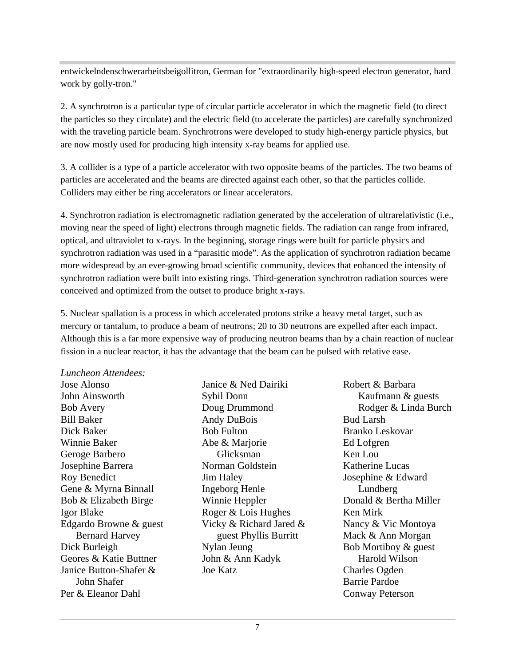entwickelndenschwerarbeitsbeigollitron, German for "extraordinarily high-speed electron generator, hard work by golly-tron."

2. A synchrotron is a particular type of circular particle accelerator in which the magnetic field (to direct the particles so they circulate) and the electric field (to accelerate the particles) are carefully synchronized with the traveling particle beam. Synchrotrons were developed to study high-energy particle physics, but are now mostly used for producing high intensity x-ray beams for applied use.

3. A collider is a type of a particle accelerator with two opposite beams of the particles. The two beams of particles are accelerated and the beams are directed against each other, so that the particles collide. Colliders may either be ring accelerators or linear accelerators.

4. Synchrotron radiation is electromagnetic radiation generated by the acceleration of ultrarelativistic (i.e., moving near the speed of light) electrons through magnetic fields. The radiation can range from infrared, optical, and ultraviolet to x-rays. In the beginning, storage rings were built for particle physics and synchrotron radiation was used in a "parasitic mode". As the application of synchrotron radiation became more widespread by an ever-growing broad scientific community, devices that enhanced the intensity of synchrotron radiation were built into existing rings. Third-generation synchrotron radiation sources were conceived and optimized from the outset to produce bright x-rays.

5. Nuclear spallation is a process in which accelerated protons strike a heavy metal target, such as mercury or tantalum, to produce a beam of neutrons; 20 to 30 neutrons are expelled after each impact. Although this is a far more expensive way of producing neutron beams than by a chain reaction of nuclear fission in a nuclear reactor, it has the advantage that the beam can be pulsed with relative ease.

*Luncheon Attendees:*  Jose Alonso **Janice & Ned Dairiki** Robert & Barbara Gene & Myrna Binnall **Ingeborg Henle** Lundberg Geores & Katie Buttner John & Ann Kadyk Harold Wilson Janice Button-Shafer &

Janice & Ned Dairiki Abe & Marjorie

John Ainsworth Bob Avery **South Book** Doug Drummond **Rodger & Linda Burch** Bill Baker **Andy DuBois** Bud Larsh Dick Baker **Bob Fulton** Bob Fulton **Branko Leskovar** Winnie Baker Geroge Barbero **Glicksman** Glicksman **Ken Lou** Josephine Barrera Roy Benedict **Solution Superior Service Service Service Service Service Service Service Service Service Service Service Service Service Service Service Service Service Service Service Service Service Service Service Servic** Bob & Elizabeth Birge **Winnie Heppler** Donald & Bertha Miller Igor Blake Roger & Lois Hughes Edgardo Browne & guest Vicky & Richard Jared & Nancy & Vic Montoya Bernard Harvey **Example 2** Second 1 and Second 1 and Second 1 and Second 1 and Second 1 and Second 1 and Second 1 Dick Burleigh **Solution Communist Communist Communist Communist Communist Communist Communist Communist Communist Communist Communist Communist Communist Communist Communist Communist Communist Communist Communist Communis** John Shafer Per & Eleanor Dahl Conway PetersonSybil Donn Kaufmann & guests Doug Drummond **Rodger & Linda Burch** Andy DuBois **Bud Larsh** Bob Fulton **Branko Leskovar** Glicksman Ken Lou Norman Goldstein **Katherine Lucas Josephine & Edward** Josephine & Edward Ingeborg Henle Winnie Heppler Donald & Bertha Miller guest Phyllis Burritt Mack & Ann Morgan Nylan Jeung **Bob Mortiboy & guest** John & Ann Kadyk Joe Katz Robert & Barbara Kaufmann & guests Rodger & Linda Burch Bud Larsh Branko Leskovar Ed Lofgren Ken Lou Katherine Lucas Lundberg and the state of the state of the state of the state of the state of the state of the state of the state of the state of the state of the state of the state of the state of the state of the state of the state of t Ken Mirk Nancy & Vic Montoya Mack & Ann Morgan Bob Mortiboy & guest Harold Wilson Charles Ogden Barrie Pardoe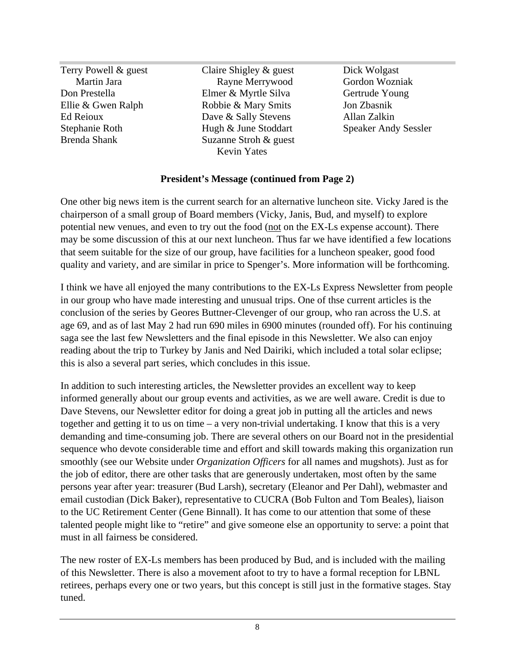Terry Powell & guest Claire Shigley & guest Dick Wolgast Martin Jara Don Prestella Ellie & Gwen Ralph **Robbie & Mary Smits** Jon Zbasnik Ed Reioux **Example 2018** Dave & Sally Stevens Allan Zalkin Stephanie Roth Hugh & June Stoddart Speaker Andy Sessler Brenda Shank Suzanne Stroh & guest Elmer & Myrtle Silva Robbie & Mary Smits Dave & Sally Stevens Allan Zalkin Hugh & June Stoddart Speaker Andy Sessler Suzanne Stroh & guest Kevin Yates **Kevin Yates** 

Rayne Merrywood Dick Wolgast Gordon Wozniak Gertrude Young Jon Zbasnik Allan Zalkin

#### **President's Message (continued from Page 2)**

One other big news item is the current search for an alternative luncheon site. Vicky Jared is the chairperson of a small group of Board members (Vicky, Janis, Bud, and myself) to explore potential new venues, and even to try out the food (not on the EX-Ls expense account). There may be some discussion of this at our next luncheon. Thus far we have identified a few locations that seem suitable for the size of our group, have facilities for a luncheon speaker, good food quality and variety, and are similar in price to Spenger's. More information will be forthcoming.

I think we have all enjoyed the many contributions to the EX-Ls Express Newsletter from people in our group who have made interesting and unusual trips. One of thse current articles is the conclusion of the series by Geores Buttner-Clevenger of our group, who ran across the U.S. at age 69, and as of last May 2 had run 690 miles in 6900 minutes (rounded off). For his continuing saga see the last few Newsletters and the final episode in this Newsletter. We also can enjoy reading about the trip to Turkey by Janis and Ned Dairiki, which included a total solar eclipse; this is also a several part series, which concludes in this issue.

In addition to such interesting articles, the Newsletter provides an excellent way to keep informed generally about our group events and activities, as we are well aware. Credit is due to Dave Stevens, our Newsletter editor for doing a great job in putting all the articles and news together and getting it to us on time – a very non-trivial undertaking. I know that this is a very demanding and time-consuming job. There are several others on our Board not in the presidential sequence who devote considerable time and effort and skill towards making this organization run smoothly (see our Website under *Organization Officers* for all names and mugshots). Just as for the job of editor, there are other tasks that are generously undertaken, most often by the same persons year after year: treasurer (Bud Larsh), secretary (Eleanor and Per Dahl), webmaster and email custodian (Dick Baker), representative to CUCRA (Bob Fulton and Tom Beales), liaison to the UC Retirement Center (Gene Binnall). It has come to our attention that some of these talented people might like to "retire" and give someone else an opportunity to serve: a point that must in all fairness be considered.

The new roster of EX-Ls members has been produced by Bud, and is included with the mailing of this Newsletter. There is also a movement afoot to try to have a formal reception for LBNL retirees, perhaps every one or two years, but this concept is still just in the formative stages. Stay tuned.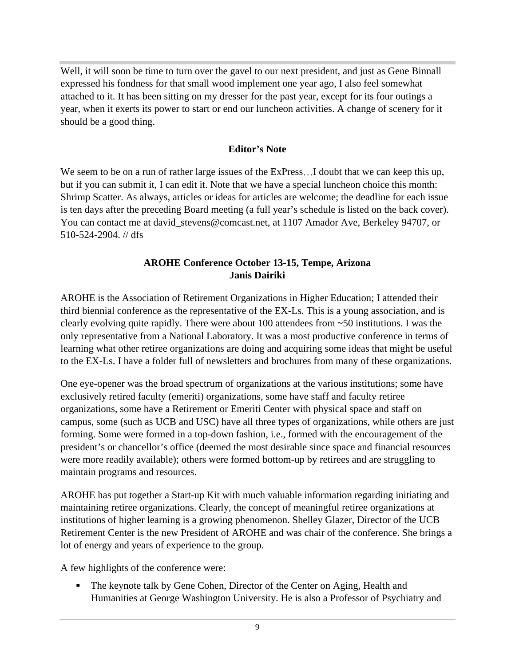Well, it will soon be time to turn over the gavel to our next president, and just as Gene Binnall expressed his fondness for that small wood implement one year ago, I also feel somewhat attached to it. It has been sitting on my dresser for the past year, except for its four outings a year, when it exerts its power to start or end our luncheon activities. A change of scenery for it should be a good thing.

#### **Editor's Note**

We seem to be on a run of rather large issues of the  $ExPress...I$  doubt that we can keep this up, but if you can submit it, I can edit it. Note that we have a special luncheon choice this month: Shrimp Scatter. As always, articles or ideas for articles are welcome; the deadline for each issue is ten days after the preceding Board meeting (a full year's schedule is listed on the back cover). You can contact me at david stevens@comcast.net, at 1107 Amador Ave, Berkeley 94707, or 510-524-2904. // dfs

#### **AROHE Conference October 13-15, Tempe, Arizona Janis Dairiki**

AROHE is the Association of Retirement Organizations in Higher Education; I attended their third biennial conference as the representative of the EX-Ls. This is a young association, and is clearly evolving quite rapidly. There were about 100 attendees from ~50 institutions. I was the only representative from a National Laboratory. It was a most productive conference in terms of learning what other retiree organizations are doing and acquiring some ideas that might be useful to the EX-Ls. I have a folder full of newsletters and brochures from many of these organizations.

One eye-opener was the broad spectrum of organizations at the various institutions; some have exclusively retired faculty (emeriti) organizations, some have staff and faculty retiree organizations, some have a Retirement or Emeriti Center with physical space and staff on campus, some (such as UCB and USC) have all three types of organizations, while others are just forming. Some were formed in a top-down fashion, i.e., formed with the encouragement of the president's or chancellor's office (deemed the most desirable since space and financial resources were more readily available); others were formed bottom-up by retirees and are struggling to maintain programs and resources.

AROHE has put together a Start-up Kit with much valuable information regarding initiating and maintaining retiree organizations. Clearly, the concept of meaningful retiree organizations at institutions of higher learning is a growing phenomenon. Shelley Glazer, Director of the UCB Retirement Center is the new President of AROHE and was chair of the conference. She brings a lot of energy and years of experience to the group.

A few highlights of the conference were:

The keynote talk by Gene Cohen, Director of the Center on Aging, Health and Humanities at George Washington University. He is also a Professor of Psychiatry and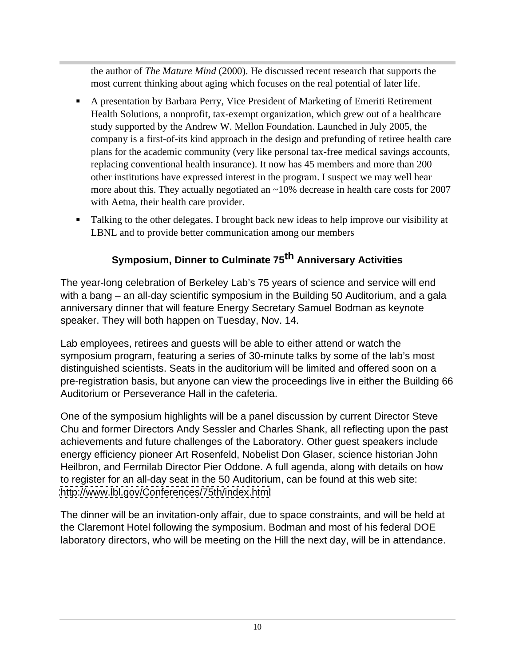the author of *The Mature Mind* (2000). He discussed recent research that supports the most current thinking about aging which focuses on the real potential of later life.

- A presentation by Barbara Perry, Vice President of Marketing of Emeriti Retirement Health Solutions, a nonprofit, tax-exempt organization, which grew out of a healthcare study supported by the Andrew W. Mellon Foundation. Launched in July 2005, the company is a first-of-its kind approach in the design and prefunding of retiree health care plans for the academic community (very like personal tax-free medical savings accounts, replacing conventional health insurance). It now has 45 members and more than 200 other institutions have expressed interest in the program. I suspect we may well hear more about this. They actually negotiated an ~10% decrease in health care costs for 2007 with Aetna, their health care provider.
- Talking to the other delegates. I brought back new ideas to help improve our visibility at LBNL and to provide better communication among our members

# **Symposium, Dinner to Culminate 75th Anniversary Activities**

The year-long celebration of Berkeley Lab's 75 years of science and service will end with a bang – an all-day scientific symposium in the Building 50 Auditorium, and a gala anniversary dinner that will feature Energy Secretary Samuel Bodman as keynote speaker. They will both happen on Tuesday, Nov. 14.

Lab employees, retirees and guests will be able to either attend or watch the symposium program, featuring a series of 30-minute talks by some of the lab's most distinguished scientists. Seats in the auditorium will be limited and offered soon on a pre-registration basis, but anyone can view the proceedings live in either the Building 66 Auditorium or Perseverance Hall in the cafeteria.

One of the symposium highlights will be a panel discussion by current Director Steve Chu and former Directors Andy Sessler and Charles Shank, all reflecting upon the past achievements and future challenges of the Laboratory. Other guest speakers include energy efficiency pioneer Art Rosenfeld, Nobelist Don Glaser, science historian John Heilbron, and Fermilab Director Pier Oddone. A full agenda, along with details on how to register for an all-day seat in the 50 Auditorium, can be found at this web site: <http://www.lbl.gov/Conferences/75th/index.html>

The dinner will be an invitation-only affair, due to space constraints, and will be held at the Claremont Hotel following the symposium. Bodman and most of his federal DOE laboratory directors, who will be meeting on the Hill the next day, will be in attendance.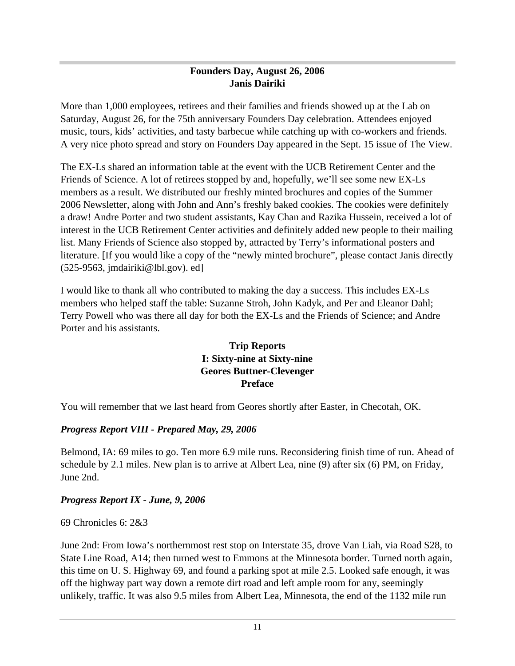#### **Founders Day, August 26, 2006 Janis Dairiki**

More than 1,000 employees, retirees and their families and friends showed up at the Lab on Saturday, August 26, for the 75th anniversary Founders Day celebration. Attendees enjoyed music, tours, kids' activities, and tasty barbecue while catching up with co-workers and friends. A very nice photo spread and story on Founders Day appeared in the Sept. 15 issue of The View.

The EX-Ls shared an information table at the event with the UCB Retirement Center and the Friends of Science. A lot of retirees stopped by and, hopefully, we'll see some new EX-Ls members as a result. We distributed our freshly minted brochures and copies of the Summer 2006 Newsletter, along with John and Ann's freshly baked cookies. The cookies were definitely a draw! Andre Porter and two student assistants, Kay Chan and Razika Hussein, received a lot of interest in the UCB Retirement Center activities and definitely added new people to their mailing list. Many Friends of Science also stopped by, attracted by Terry's informational posters and literature. [If you would like a copy of the "newly minted brochure", please contact Janis directly (525-9563, jmdairiki@lbl.gov). ed]

I would like to thank all who contributed to making the day a success. This includes EX-Ls members who helped staff the table: Suzanne Stroh, John Kadyk, and Per and Eleanor Dahl; Terry Powell who was there all day for both the EX-Ls and the Friends of Science; and Andre Porter and his assistants.

#### **Trip Reports I: Sixty-nine at Sixty-nine Geores Buttner-Clevenger Preface**

You will remember that we last heard from Geores shortly after Easter, in Checotah, OK.

#### *Progress Report VIII - Prepared May, 29, 2006*

Belmond, IA: 69 miles to go. Ten more 6.9 mile runs. Reconsidering finish time of run. Ahead of schedule by 2.1 miles. New plan is to arrive at Albert Lea, nine (9) after six (6) PM, on Friday, June 2nd.

#### *Progress Report IX - June, 9, 2006*

69 Chronicles 6: 2&3

June 2nd: From Iowa's northernmost rest stop on Interstate 35, drove Van Liah, via Road S28, to State Line Road, A14; then turned west to Emmons at the Minnesota border. Turned north again, this time on U. S. Highway 69, and found a parking spot at mile 2.5. Looked safe enough, it was off the highway part way down a remote dirt road and left ample room for any, seemingly unlikely, traffic. It was also 9.5 miles from Albert Lea, Minnesota, the end of the 1132 mile run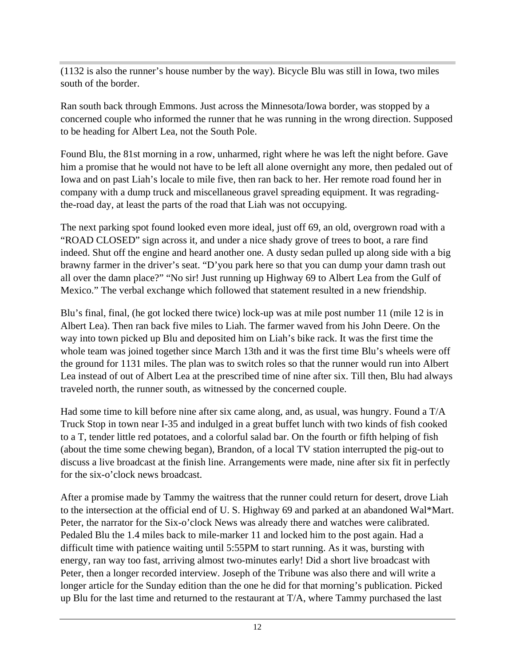(1132 is also the runner's house number by the way). Bicycle Blu was still in Iowa, two miles south of the border.

Ran south back through Emmons. Just across the Minnesota/Iowa border, was stopped by a concerned couple who informed the runner that he was running in the wrong direction. Supposed to be heading for Albert Lea, not the South Pole.

Found Blu, the 81st morning in a row, unharmed, right where he was left the night before. Gave him a promise that he would not have to be left all alone overnight any more, then pedaled out of Iowa and on past Liah's locale to mile five, then ran back to her. Her remote road found her in company with a dump truck and miscellaneous gravel spreading equipment. It was regradingthe-road day, at least the parts of the road that Liah was not occupying.

The next parking spot found looked even more ideal, just off 69, an old, overgrown road with a "ROAD CLOSED" sign across it, and under a nice shady grove of trees to boot, a rare find indeed. Shut off the engine and heard another one. A dusty sedan pulled up along side with a big brawny farmer in the driver's seat. "D'you park here so that you can dump your damn trash out all over the damn place?" "No sir! Just running up Highway 69 to Albert Lea from the Gulf of Mexico." The verbal exchange which followed that statement resulted in a new friendship.

Blu's final, final, (he got locked there twice) lock-up was at mile post number 11 (mile 12 is in Albert Lea). Then ran back five miles to Liah. The farmer waved from his John Deere. On the way into town picked up Blu and deposited him on Liah's bike rack. It was the first time the whole team was joined together since March 13th and it was the first time Blu's wheels were off the ground for 1131 miles. The plan was to switch roles so that the runner would run into Albert Lea instead of out of Albert Lea at the prescribed time of nine after six. Till then, Blu had always traveled north, the runner south, as witnessed by the concerned couple.

Had some time to kill before nine after six came along, and, as usual, was hungry. Found a T/A Truck Stop in town near I-35 and indulged in a great buffet lunch with two kinds of fish cooked to a T, tender little red potatoes, and a colorful salad bar. On the fourth or fifth helping of fish (about the time some chewing began), Brandon, of a local TV station interrupted the pig-out to discuss a live broadcast at the finish line. Arrangements were made, nine after six fit in perfectly for the six-o'clock news broadcast.

After a promise made by Tammy the waitress that the runner could return for desert, drove Liah to the intersection at the official end of U. S. Highway 69 and parked at an abandoned Wal\*Mart. Peter, the narrator for the Six-o'clock News was already there and watches were calibrated. Pedaled Blu the 1.4 miles back to mile-marker 11 and locked him to the post again. Had a difficult time with patience waiting until 5:55PM to start running. As it was, bursting with energy, ran way too fast, arriving almost two-minutes early! Did a short live broadcast with Peter, then a longer recorded interview. Joseph of the Tribune was also there and will write a longer article for the Sunday edition than the one he did for that morning's publication. Picked up Blu for the last time and returned to the restaurant at  $T/A$ , where Tammy purchased the last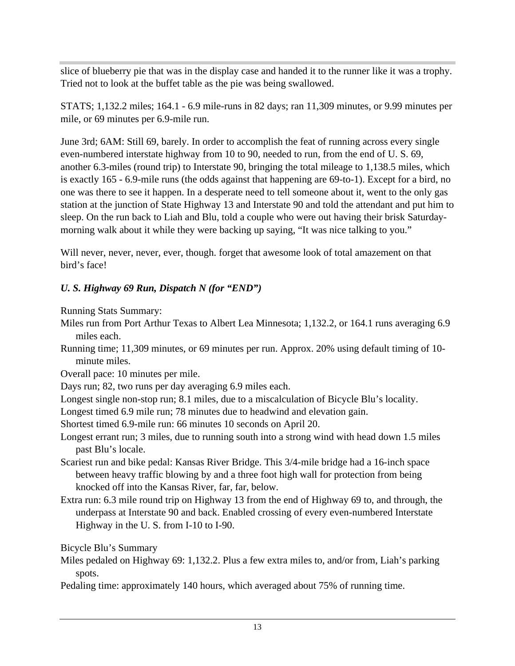slice of blueberry pie that was in the display case and handed it to the runner like it was a trophy. Tried not to look at the buffet table as the pie was being swallowed.

STATS; 1,132.2 miles; 164.1 - 6.9 mile-runs in 82 days; ran 11,309 minutes, or 9.99 minutes per mile, or 69 minutes per 6.9-mile run.

June 3rd; 6AM: Still 69, barely. In order to accomplish the feat of running across every single even-numbered interstate highway from 10 to 90, needed to run, from the end of U. S. 69, another 6.3-miles (round trip) to Interstate 90, bringing the total mileage to 1,138.5 miles, which is exactly 165 - 6.9-mile runs (the odds against that happening are 69-to-1). Except for a bird, no one was there to see it happen. In a desperate need to tell someone about it, went to the only gas station at the junction of State Highway 13 and Interstate 90 and told the attendant and put him to sleep. On the run back to Liah and Blu, told a couple who were out having their brisk Saturday morning walk about it while they were backing up saying, "It was nice talking to you."

Will never, never, never, ever, though. forget that awesome look of total amazement on that bird's face!

## *U. S. Highway 69 Run, Dispatch N (for "END")*

Running Stats Summary:

- Miles run from Port Arthur Texas to Albert Lea Minnesota; 1,132.2, or 164.1 runs averaging 6.9 miles each.
- Running time; 11,309 minutes, or 69 minutes per run. Approx. 20% using default timing of 10 minute miles.

Overall pace: 10 minutes per mile.

Days run; 82, two runs per day averaging 6.9 miles each.

Longest single non-stop run; 8.1 miles, due to a miscalculation of Bicycle Blu's locality.

Longest timed 6.9 mile run; 78 minutes due to headwind and elevation gain.

Shortest timed 6.9-mile run: 66 minutes 10 seconds on April 20.

Longest errant run; 3 miles, due to running south into a strong wind with head down 1.5 miles past Blu's locale.

- Scariest run and bike pedal: Kansas River Bridge. This 3/4-mile bridge had a 16-inch space between heavy traffic blowing by and a three foot high wall for protection from being knocked off into the Kansas River, far, far, below.
- Extra run: 6.3 mile round trip on Highway 13 from the end of Highway 69 to, and through, the underpass at Interstate 90 and back. Enabled crossing of every even-numbered Interstate Highway in the U. S. from I-10 to I-90.

Bicycle Blu's Summary

Miles pedaled on Highway 69: 1,132.2. Plus a few extra miles to, and/or from, Liah's parking spots.

Pedaling time: approximately 140 hours, which averaged about 75% of running time.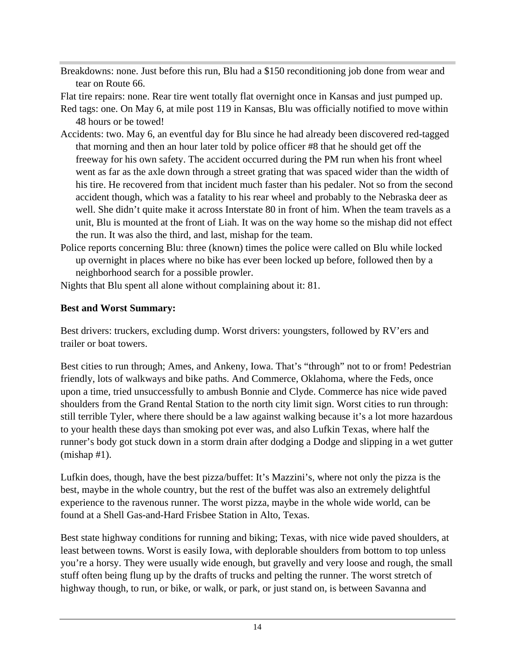Breakdowns: none. Just before this run, Blu had a \$150 reconditioning job done from wear and tear on Route 66.

Flat tire repairs: none. Rear tire went totally flat overnight once in Kansas and just pumped up.

Red tags: one. On May 6, at mile post 119 in Kansas, Blu was officially notified to move within 48 hours or be towed!

- Accidents: two. May 6, an eventful day for Blu since he had already been discovered red-tagged that morning and then an hour later told by police officer #8 that he should get off the freeway for his own safety. The accident occurred during the PM run when his front wheel went as far as the axle down through a street grating that was spaced wider than the width of his tire. He recovered from that incident much faster than his pedaler. Not so from the second accident though, which was a fatality to his rear wheel and probably to the Nebraska deer as well. She didn't quite make it across Interstate 80 in front of him. When the team travels as a unit, Blu is mounted at the front of Liah. It was on the way home so the mishap did not effect the run. It was also the third, and last, mishap for the team.
- Police reports concerning Blu: three (known) times the police were called on Blu while locked up overnight in places where no bike has ever been locked up before, followed then by a neighborhood search for a possible prowler.
- Nights that Blu spent all alone without complaining about it: 81.

## **Best and Worst Summary:**

Best drivers: truckers, excluding dump. Worst drivers: youngsters, followed by RV'ers and trailer or boat towers.

Best cities to run through; Ames, and Ankeny, Iowa. That's "through" not to or from! Pedestrian friendly, lots of walkways and bike paths. And Commerce, Oklahoma, where the Feds, once upon a time, tried unsuccessfully to ambush Bonnie and Clyde. Commerce has nice wide paved shoulders from the Grand Rental Station to the north city limit sign. Worst cities to run through: still terrible Tyler, where there should be a law against walking because it's a lot more hazardous to your health these days than smoking pot ever was, and also Lufkin Texas, where half the runner's body got stuck down in a storm drain after dodging a Dodge and slipping in a wet gutter (mishap #1).

Lufkin does, though, have the best pizza/buffet: It's Mazzini's, where not only the pizza is the best, maybe in the whole country, but the rest of the buffet was also an extremely delightful experience to the ravenous runner. The worst pizza, maybe in the whole wide world, can be found at a Shell Gas-and-Hard Frisbee Station in Alto, Texas.

Best state highway conditions for running and biking; Texas, with nice wide paved shoulders, at least between towns. Worst is easily Iowa, with deplorable shoulders from bottom to top unless you're a horsy. They were usually wide enough, but gravelly and very loose and rough, the small stuff often being flung up by the drafts of trucks and pelting the runner. The worst stretch of highway though, to run, or bike, or walk, or park, or just stand on, is between Savanna and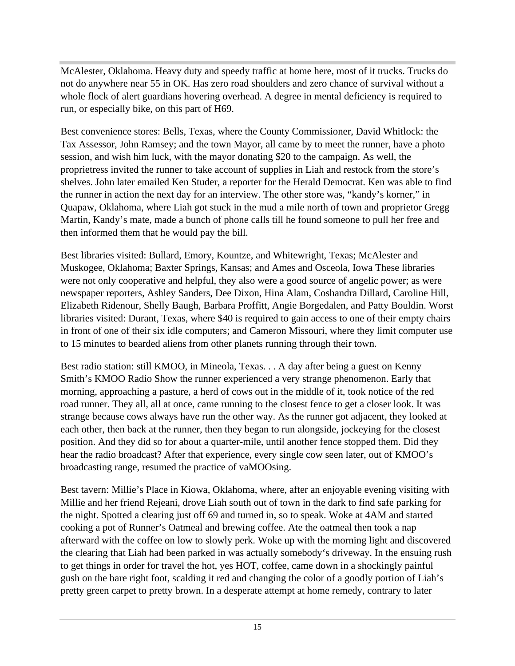McAlester, Oklahoma. Heavy duty and speedy traffic at home here, most of it trucks. Trucks do not do anywhere near 55 in OK. Has zero road shoulders and zero chance of survival without a whole flock of alert guardians hovering overhead. A degree in mental deficiency is required to run, or especially bike, on this part of H69.

Best convenience stores: Bells, Texas, where the County Commissioner, David Whitlock: the Tax Assessor, John Ramsey; and the town Mayor, all came by to meet the runner, have a photo session, and wish him luck, with the mayor donating \$20 to the campaign. As well, the proprietress invited the runner to take account of supplies in Liah and restock from the store's shelves. John later emailed Ken Studer, a reporter for the Herald Democrat. Ken was able to find the runner in action the next day for an interview. The other store was, "kandy's korner," in Quapaw, Oklahoma, where Liah got stuck in the mud a mile north of town and proprietor Gregg Martin, Kandy's mate, made a bunch of phone calls till he found someone to pull her free and then informed them that he would pay the bill.

Best libraries visited: Bullard, Emory, Kountze, and Whitewright, Texas; McAlester and Muskogee, Oklahoma; Baxter Springs, Kansas; and Ames and Osceola, Iowa These libraries were not only cooperative and helpful, they also were a good source of angelic power; as were newspaper reporters, Ashley Sanders, Dee Dixon, Hina Alam, Coshandra Dillard, Caroline Hill, Elizabeth Ridenour, Shelly Baugh, Barbara Proffitt, Angie Borgedalen, and Patty Bouldin. Worst libraries visited: Durant, Texas, where \$40 is required to gain access to one of their empty chairs in front of one of their six idle computers; and Cameron Missouri, where they limit computer use to 15 minutes to bearded aliens from other planets running through their town.

Best radio station: still KMOO, in Mineola, Texas. . . A day after being a guest on Kenny Smith's KMOO Radio Show the runner experienced a very strange phenomenon. Early that morning, approaching a pasture, a herd of cows out in the middle of it, took notice of the red road runner. They all, all at once, came running to the closest fence to get a closer look. It was strange because cows always have run the other way. As the runner got adjacent, they looked at each other, then back at the runner, then they began to run alongside, jockeying for the closest position. And they did so for about a quarter-mile, until another fence stopped them. Did they hear the radio broadcast? After that experience, every single cow seen later, out of KMOO's broadcasting range, resumed the practice of vaMOOsing.

Best tavern: Millie's Place in Kiowa, Oklahoma, where, after an enjoyable evening visiting with Millie and her friend Rejeani, drove Liah south out of town in the dark to find safe parking for the night. Spotted a clearing just off 69 and turned in, so to speak. Woke at 4AM and started cooking a pot of Runner's Oatmeal and brewing coffee. Ate the oatmeal then took a nap afterward with the coffee on low to slowly perk. Woke up with the morning light and discovered the clearing that Liah had been parked in was actually somebody's driveway. In the ensuing rush to get things in order for travel the hot, yes HOT, coffee, came down in a shockingly painful gush on the bare right foot, scalding it red and changing the color of a goodly portion of Liah's pretty green carpet to pretty brown. In a desperate attempt at home remedy, contrary to later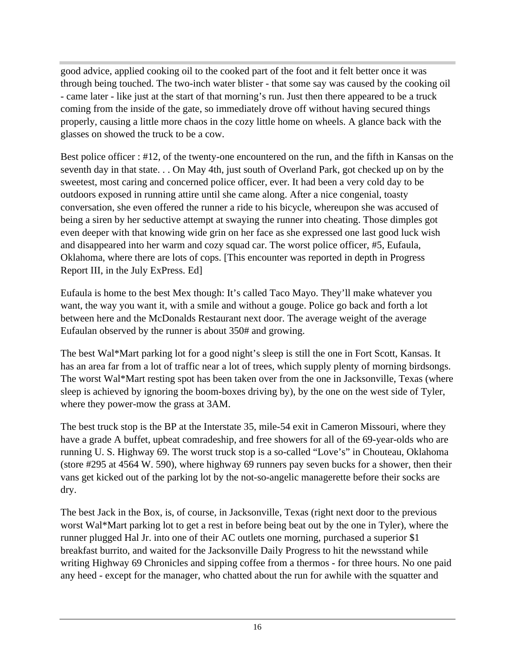good advice, applied cooking oil to the cooked part of the foot and it felt better once it was through being touched. The two-inch water blister - that some say was caused by the cooking oil - came later - like just at the start of that morning's run. Just then there appeared to be a truck coming from the inside of the gate, so immediately drove off without having secured things properly, causing a little more chaos in the cozy little home on wheels. A glance back with the glasses on showed the truck to be a cow.

Best police officer : #12, of the twenty-one encountered on the run, and the fifth in Kansas on the seventh day in that state. . . On May 4th, just south of Overland Park, got checked up on by the sweetest, most caring and concerned police officer, ever. It had been a very cold day to be outdoors exposed in running attire until she came along. After a nice congenial, toasty conversation, she even offered the runner a ride to his bicycle, whereupon she was accused of being a siren by her seductive attempt at swaying the runner into cheating. Those dimples got even deeper with that knowing wide grin on her face as she expressed one last good luck wish and disappeared into her warm and cozy squad car. The worst police officer, #5, Eufaula, Oklahoma, where there are lots of cops. [This encounter was reported in depth in Progress Report III, in the July ExPress. Ed]

Eufaula is home to the best Mex though: It's called Taco Mayo. They'll make whatever you want, the way you want it, with a smile and without a gouge. Police go back and forth a lot between here and the McDonalds Restaurant next door. The average weight of the average Eufaulan observed by the runner is about 350# and growing.

The best Wal\*Mart parking lot for a good night's sleep is still the one in Fort Scott, Kansas. It has an area far from a lot of traffic near a lot of trees, which supply plenty of morning birdsongs. The worst Wal\*Mart resting spot has been taken over from the one in Jacksonville, Texas (where sleep is achieved by ignoring the boom-boxes driving by), by the one on the west side of Tyler, where they power-mow the grass at 3AM.

The best truck stop is the BP at the Interstate 35, mile-54 exit in Cameron Missouri, where they have a grade A buffet, upbeat comradeship, and free showers for all of the 69-year-olds who are running U. S. Highway 69. The worst truck stop is a so-called "Love's" in Chouteau, Oklahoma (store #295 at 4564 W. 590), where highway 69 runners pay seven bucks for a shower, then their vans get kicked out of the parking lot by the not-so-angelic managerette before their socks are dry.

The best Jack in the Box, is, of course, in Jacksonville, Texas (right next door to the previous worst Wal\*Mart parking lot to get a rest in before being beat out by the one in Tyler), where the runner plugged Hal Jr. into one of their AC outlets one morning, purchased a superior \$1 breakfast burrito, and waited for the Jacksonville Daily Progress to hit the newsstand while writing Highway 69 Chronicles and sipping coffee from a thermos - for three hours. No one paid any heed - except for the manager, who chatted about the run for awhile with the squatter and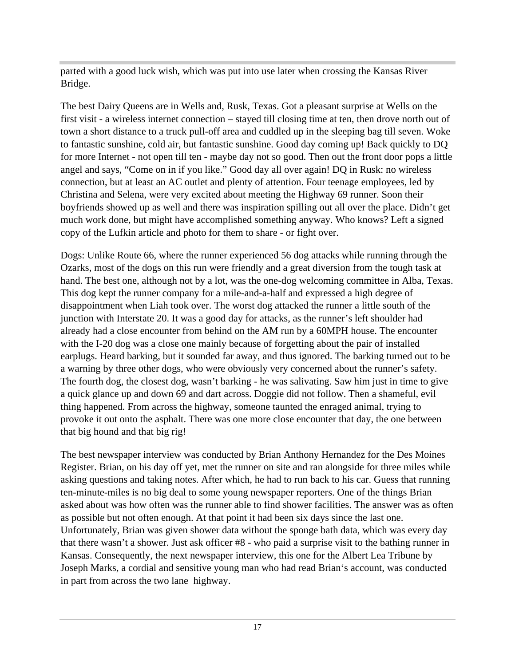parted with a good luck wish, which was put into use later when crossing the Kansas River Bridge.

The best Dairy Queens are in Wells and, Rusk, Texas. Got a pleasant surprise at Wells on the first visit - a wireless internet connection – stayed till closing time at ten, then drove north out of town a short distance to a truck pull-off area and cuddled up in the sleeping bag till seven. Woke to fantastic sunshine, cold air, but fantastic sunshine. Good day coming up! Back quickly to DQ for more Internet - not open till ten - maybe day not so good. Then out the front door pops a little angel and says, "Come on in if you like." Good day all over again! DQ in Rusk: no wireless connection, but at least an AC outlet and plenty of attention. Four teenage employees, led by Christina and Selena, were very excited about meeting the Highway 69 runner. Soon their boyfriends showed up as well and there was inspiration spilling out all over the place. Didn't get much work done, but might have accomplished something anyway. Who knows? Left a signed copy of the Lufkin article and photo for them to share - or fight over.

Dogs: Unlike Route 66, where the runner experienced 56 dog attacks while running through the Ozarks, most of the dogs on this run were friendly and a great diversion from the tough task at hand. The best one, although not by a lot, was the one-dog welcoming committee in Alba, Texas. This dog kept the runner company for a mile-and-a-half and expressed a high degree of disappointment when Liah took over. The worst dog attacked the runner a little south of the junction with Interstate 20. It was a good day for attacks, as the runner's left shoulder had already had a close encounter from behind on the AM run by a 60MPH house. The encounter with the I-20 dog was a close one mainly because of forgetting about the pair of installed earplugs. Heard barking, but it sounded far away, and thus ignored. The barking turned out to be a warning by three other dogs, who were obviously very concerned about the runner's safety. The fourth dog, the closest dog, wasn't barking - he was salivating. Saw him just in time to give a quick glance up and down 69 and dart across. Doggie did not follow. Then a shameful, evil thing happened. From across the highway, someone taunted the enraged animal, trying to provoke it out onto the asphalt. There was one more close encounter that day, the one between that big hound and that big rig!

The best newspaper interview was conducted by Brian Anthony Hernandez for the Des Moines Register. Brian, on his day off yet, met the runner on site and ran alongside for three miles while asking questions and taking notes. After which, he had to run back to his car. Guess that running ten-minute-miles is no big deal to some young newspaper reporters. One of the things Brian asked about was how often was the runner able to find shower facilities. The answer was as often as possible but not often enough. At that point it had been six days since the last one. Unfortunately, Brian was given shower data without the sponge bath data, which was every day that there wasn't a shower. Just ask officer #8 - who paid a surprise visit to the bathing runner in Kansas. Consequently, the next newspaper interview, this one for the Albert Lea Tribune by Joseph Marks, a cordial and sensitive young man who had read Brian's account, was conducted in part from across the two lane highway.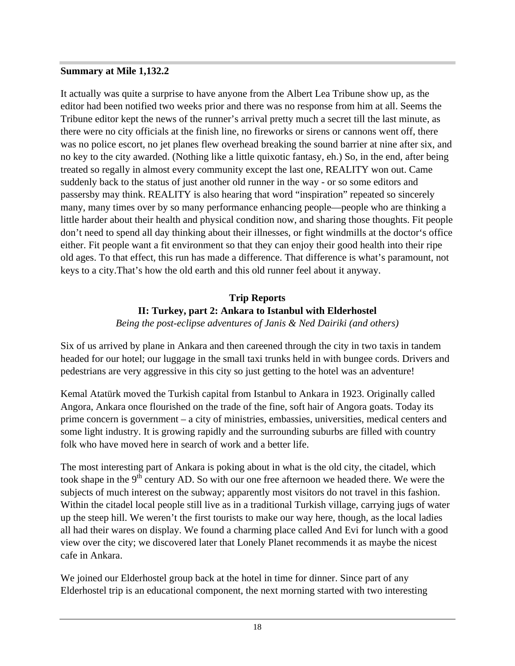#### **Summary at Mile 1,132.2**

It actually was quite a surprise to have anyone from the Albert Lea Tribune show up, as the editor had been notified two weeks prior and there was no response from him at all. Seems the Tribune editor kept the news of the runner's arrival pretty much a secret till the last minute, as there were no city officials at the finish line, no fireworks or sirens or cannons went off, there was no police escort, no jet planes flew overhead breaking the sound barrier at nine after six, and no key to the city awarded. (Nothing like a little quixotic fantasy, eh.) So, in the end, after being treated so regally in almost every community except the last one, REALITY won out. Came suddenly back to the status of just another old runner in the way - or so some editors and passersby may think. REALITY is also hearing that word "inspiration" repeated so sincerely many, many times over by so many performance enhancing people—people who are thinking a little harder about their health and physical condition now, and sharing those thoughts. Fit people don't need to spend all day thinking about their illnesses, or fight windmills at the doctor's office either. Fit people want a fit environment so that they can enjoy their good health into their ripe old ages. To that effect, this run has made a difference. That difference is what's paramount, not keys to a city.That's how the old earth and this old runner feel about it anyway.

#### **Trip Reports II: Turkey, part 2: Ankara to Istanbul with Elderhostel** *Being the post-eclipse adventures of Janis & Ned Dairiki (and others)*

Six of us arrived by plane in Ankara and then careened through the city in two taxis in tandem headed for our hotel; our luggage in the small taxi trunks held in with bungee cords. Drivers and pedestrians are very aggressive in this city so just getting to the hotel was an adventure!

Kemal Atatürk moved the Turkish capital from Istanbul to Ankara in 1923. Originally called Angora, Ankara once flourished on the trade of the fine, soft hair of Angora goats. Today its prime concern is government – a city of ministries, embassies, universities, medical centers and some light industry. It is growing rapidly and the surrounding suburbs are filled with country folk who have moved here in search of work and a better life.

The most interesting part of Ankara is poking about in what is the old city, the citadel, which took shape in the  $9<sup>th</sup>$  century AD. So with our one free afternoon we headed there. We were the subjects of much interest on the subway; apparently most visitors do not travel in this fashion. Within the citadel local people still live as in a traditional Turkish village, carrying jugs of water up the steep hill. We weren't the first tourists to make our way here, though, as the local ladies all had their wares on display. We found a charming place called And Evi for lunch with a good view over the city; we discovered later that Lonely Planet recommends it as maybe the nicest cafe in Ankara.

We joined our Elderhostel group back at the hotel in time for dinner. Since part of any Elderhostel trip is an educational component, the next morning started with two interesting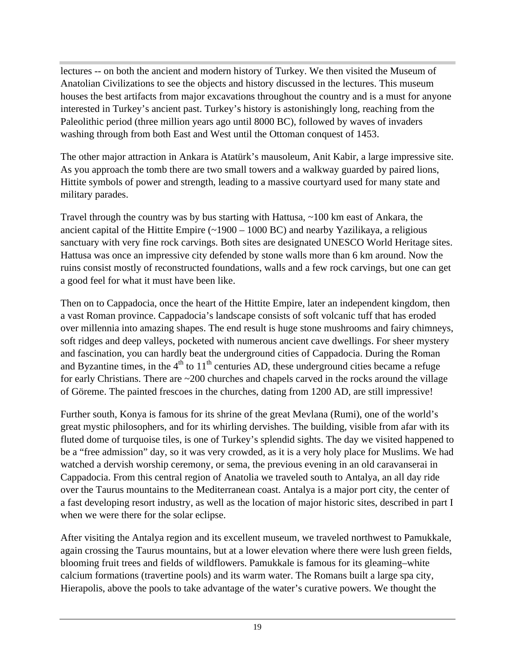lectures -- on both the ancient and modern history of Turkey. We then visited the Museum of Anatolian Civilizations to see the objects and history discussed in the lectures. This museum houses the best artifacts from major excavations throughout the country and is a must for anyone interested in Turkey's ancient past. Turkey's history is astonishingly long, reaching from the Paleolithic period (three million years ago until 8000 BC), followed by waves of invaders washing through from both East and West until the Ottoman conquest of 1453.

The other major attraction in Ankara is Atatürk's mausoleum, Anit Kabir, a large impressive site. As you approach the tomb there are two small towers and a walkway guarded by paired lions, Hittite symbols of power and strength, leading to a massive courtyard used for many state and military parades.

Travel through the country was by bus starting with Hattusa, ~100 km east of Ankara, the ancient capital of the Hittite Empire  $(\sim 1900 - 1000 \text{ BC})$  and nearby Yazilikaya, a religious sanctuary with very fine rock carvings. Both sites are designated UNESCO World Heritage sites. Hattusa was once an impressive city defended by stone walls more than 6 km around. Now the ruins consist mostly of reconstructed foundations, walls and a few rock carvings, but one can get a good feel for what it must have been like.

Then on to Cappadocia, once the heart of the Hittite Empire, later an independent kingdom, then a vast Roman province. Cappadocia's landscape consists of soft volcanic tuff that has eroded over millennia into amazing shapes. The end result is huge stone mushrooms and fairy chimneys, soft ridges and deep valleys, pocketed with numerous ancient cave dwellings. For sheer mystery and fascination, you can hardly beat the underground cities of Cappadocia. During the Roman and Byzantine times, in the  $4<sup>th</sup>$  to  $11<sup>th</sup>$  centuries AD, these underground cities became a refuge for early Christians. There are ~200 churches and chapels carved in the rocks around the village of Göreme. The painted frescoes in the churches, dating from 1200 AD, are still impressive!

Further south, Konya is famous for its shrine of the great Mevlana (Rumi), one of the world's great mystic philosophers, and for its whirling dervishes. The building, visible from afar with its fluted dome of turquoise tiles, is one of Turkey's splendid sights. The day we visited happened to be a "free admission" day, so it was very crowded, as it is a very holy place for Muslims. We had watched a dervish worship ceremony, or sema, the previous evening in an old caravanserai in Cappadocia. From this central region of Anatolia we traveled south to Antalya, an all day ride over the Taurus mountains to the Mediterranean coast. Antalya is a major port city, the center of a fast developing resort industry, as well as the location of major historic sites, described in part I when we were there for the solar eclipse.

After visiting the Antalya region and its excellent museum, we traveled northwest to Pamukkale, again crossing the Taurus mountains, but at a lower elevation where there were lush green fields, blooming fruit trees and fields of wildflowers. Pamukkale is famous for its gleaming–white calcium formations (travertine pools) and its warm water. The Romans built a large spa city, Hierapolis, above the pools to take advantage of the water's curative powers. We thought the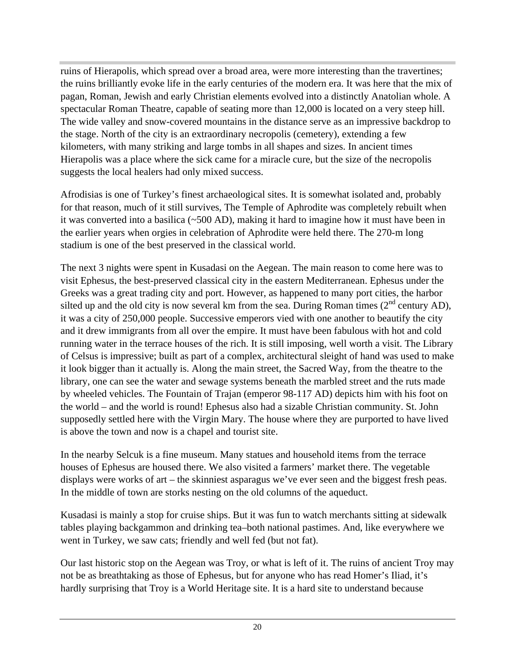ruins of Hierapolis, which spread over a broad area, were more interesting than the travertines; the ruins brilliantly evoke life in the early centuries of the modern era. It was here that the mix of pagan, Roman, Jewish and early Christian elements evolved into a distinctly Anatolian whole. A spectacular Roman Theatre, capable of seating more than 12,000 is located on a very steep hill. The wide valley and snow-covered mountains in the distance serve as an impressive backdrop to the stage. North of the city is an extraordinary necropolis (cemetery), extending a few kilometers, with many striking and large tombs in all shapes and sizes. In ancient times Hierapolis was a place where the sick came for a miracle cure, but the size of the necropolis suggests the local healers had only mixed success.

Afrodisias is one of Turkey's finest archaeological sites. It is somewhat isolated and, probably for that reason, much of it still survives, The Temple of Aphrodite was completely rebuilt when it was converted into a basilica (~500 AD), making it hard to imagine how it must have been in the earlier years when orgies in celebration of Aphrodite were held there. The 270-m long stadium is one of the best preserved in the classical world.

The next 3 nights were spent in Kusadasi on the Aegean. The main reason to come here was to visit Ephesus, the best-preserved classical city in the eastern Mediterranean. Ephesus under the Greeks was a great trading city and port. However, as happened to many port cities, the harbor silted up and the old city is now several km from the sea. During Roman times  $(2^{nd}$  century AD), it was a city of 250,000 people. Successive emperors vied with one another to beautify the city and it drew immigrants from all over the empire. It must have been fabulous with hot and cold running water in the terrace houses of the rich. It is still imposing, well worth a visit. The Library of Celsus is impressive; built as part of a complex, architectural sleight of hand was used to make it look bigger than it actually is. Along the main street, the Sacred Way, from the theatre to the library, one can see the water and sewage systems beneath the marbled street and the ruts made by wheeled vehicles. The Fountain of Trajan (emperor 98-117 AD) depicts him with his foot on the world – and the world is round! Ephesus also had a sizable Christian community. St. John supposedly settled here with the Virgin Mary. The house where they are purported to have lived is above the town and now is a chapel and tourist site.

In the nearby Selcuk is a fine museum. Many statues and household items from the terrace houses of Ephesus are housed there. We also visited a farmers' market there. The vegetable displays were works of art – the skinniest asparagus we've ever seen and the biggest fresh peas. In the middle of town are storks nesting on the old columns of the aqueduct.

Kusadasi is mainly a stop for cruise ships. But it was fun to watch merchants sitting at sidewalk tables playing backgammon and drinking tea–both national pastimes. And, like everywhere we went in Turkey, we saw cats; friendly and well fed (but not fat).

Our last historic stop on the Aegean was Troy, or what is left of it. The ruins of ancient Troy may not be as breathtaking as those of Ephesus, but for anyone who has read Homer's Iliad, it's hardly surprising that Troy is a World Heritage site. It is a hard site to understand because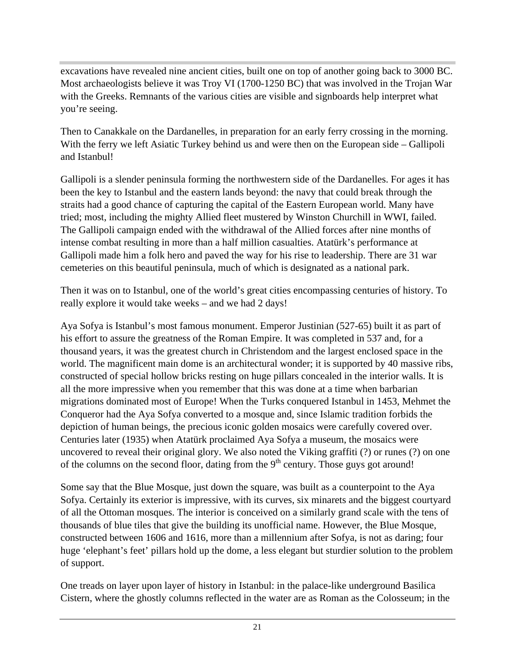excavations have revealed nine ancient cities, built one on top of another going back to 3000 BC. Most archaeologists believe it was Troy VI (1700-1250 BC) that was involved in the Trojan War with the Greeks. Remnants of the various cities are visible and signboards help interpret what you're seeing.

Then to Canakkale on the Dardanelles, in preparation for an early ferry crossing in the morning. With the ferry we left Asiatic Turkey behind us and were then on the European side – Gallipoli and Istanbul!

Gallipoli is a slender peninsula forming the northwestern side of the Dardanelles. For ages it has been the key to Istanbul and the eastern lands beyond: the navy that could break through the straits had a good chance of capturing the capital of the Eastern European world. Many have tried; most, including the mighty Allied fleet mustered by Winston Churchill in WWI, failed. The Gallipoli campaign ended with the withdrawal of the Allied forces after nine months of intense combat resulting in more than a half million casualties. Atatürk's performance at Gallipoli made him a folk hero and paved the way for his rise to leadership. There are 31 war cemeteries on this beautiful peninsula, much of which is designated as a national park.

Then it was on to Istanbul, one of the world's great cities encompassing centuries of history. To really explore it would take weeks – and we had 2 days!

Aya Sofya is Istanbul's most famous monument. Emperor Justinian (527-65) built it as part of his effort to assure the greatness of the Roman Empire. It was completed in 537 and, for a thousand years, it was the greatest church in Christendom and the largest enclosed space in the world. The magnificent main dome is an architectural wonder; it is supported by 40 massive ribs, constructed of special hollow bricks resting on huge pillars concealed in the interior walls. It is all the more impressive when you remember that this was done at a time when barbarian migrations dominated most of Europe! When the Turks conquered Istanbul in 1453, Mehmet the Conqueror had the Aya Sofya converted to a mosque and, since Islamic tradition forbids the depiction of human beings, the precious iconic golden mosaics were carefully covered over. Centuries later (1935) when Atatürk proclaimed Aya Sofya a museum, the mosaics were uncovered to reveal their original glory. We also noted the Viking graffiti (?) or runes (?) on one of the columns on the second floor, dating from the  $9<sup>th</sup>$  century. Those guys got around!

Some say that the Blue Mosque, just down the square, was built as a counterpoint to the Aya Sofya. Certainly its exterior is impressive, with its curves, six minarets and the biggest courtyard of all the Ottoman mosques. The interior is conceived on a similarly grand scale with the tens of thousands of blue tiles that give the building its unofficial name. However, the Blue Mosque, constructed between 1606 and 1616, more than a millennium after Sofya, is not as daring; four huge 'elephant's feet' pillars hold up the dome, a less elegant but sturdier solution to the problem of support.

One treads on layer upon layer of history in Istanbul: in the palace-like underground Basilica Cistern, where the ghostly columns reflected in the water are as Roman as the Colosseum; in the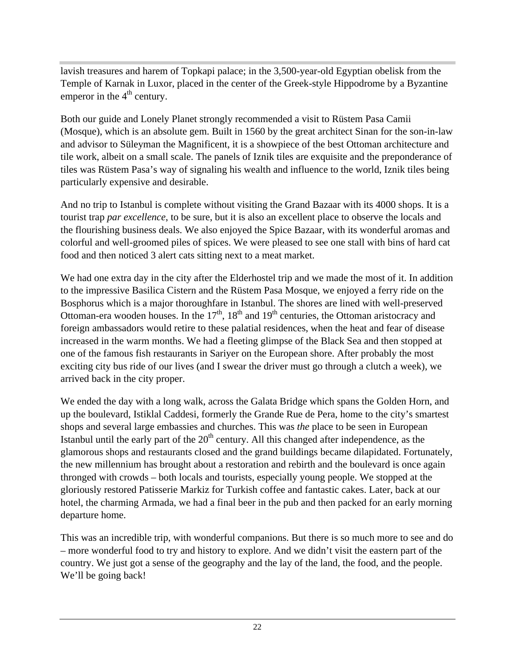lavish treasures and harem of Topkapi palace; in the 3,500-year-old Egyptian obelisk from the Temple of Karnak in Luxor, placed in the center of the Greek-style Hippodrome by a Byzantine emperor in the  $4<sup>th</sup>$  century.

Both our guide and Lonely Planet strongly recommended a visit to Rüstem Pasa Camii (Mosque), which is an absolute gem. Built in 1560 by the great architect Sinan for the son-in-law and advisor to Süleyman the Magnificent, it is a showpiece of the best Ottoman architecture and tile work, albeit on a small scale. The panels of Iznik tiles are exquisite and the preponderance of tiles was Rüstem Pasa's way of signaling his wealth and influence to the world, Iznik tiles being particularly expensive and desirable.

And no trip to Istanbul is complete without visiting the Grand Bazaar with its 4000 shops. It is a tourist trap *par excellence*, to be sure, but it is also an excellent place to observe the locals and the flourishing business deals. We also enjoyed the Spice Bazaar, with its wonderful aromas and colorful and well-groomed piles of spices. We were pleased to see one stall with bins of hard cat food and then noticed 3 alert cats sitting next to a meat market.

We had one extra day in the city after the Elderhostel trip and we made the most of it. In addition to the impressive Basilica Cistern and the Rüstem Pasa Mosque, we enjoyed a ferry ride on the Bosphorus which is a major thoroughfare in Istanbul. The shores are lined with well-preserved Ottoman-era wooden houses. In the  $17<sup>th</sup>$ ,  $18<sup>th</sup>$  and  $19<sup>th</sup>$  centuries, the Ottoman aristocracy and foreign ambassadors would retire to these palatial residences, when the heat and fear of disease increased in the warm months. We had a fleeting glimpse of the Black Sea and then stopped at one of the famous fish restaurants in Sariyer on the European shore. After probably the most exciting city bus ride of our lives (and I swear the driver must go through a clutch a week), we arrived back in the city proper.

We ended the day with a long walk, across the Galata Bridge which spans the Golden Horn, and up the boulevard, Istiklal Caddesi, formerly the Grande Rue de Pera, home to the city's smartest shops and several large embassies and churches. This was *the* place to be seen in European Istanbul until the early part of the  $20<sup>th</sup>$  century. All this changed after independence, as the glamorous shops and restaurants closed and the grand buildings became dilapidated. Fortunately, the new millennium has brought about a restoration and rebirth and the boulevard is once again thronged with crowds – both locals and tourists, especially young people. We stopped at the gloriously restored Patisserie Markiz for Turkish coffee and fantastic cakes. Later, back at our hotel, the charming Armada, we had a final beer in the pub and then packed for an early morning departure home.

This was an incredible trip, with wonderful companions. But there is so much more to see and do – more wonderful food to try and history to explore. And we didn't visit the eastern part of the country. We just got a sense of the geography and the lay of the land, the food, and the people. We'll be going back!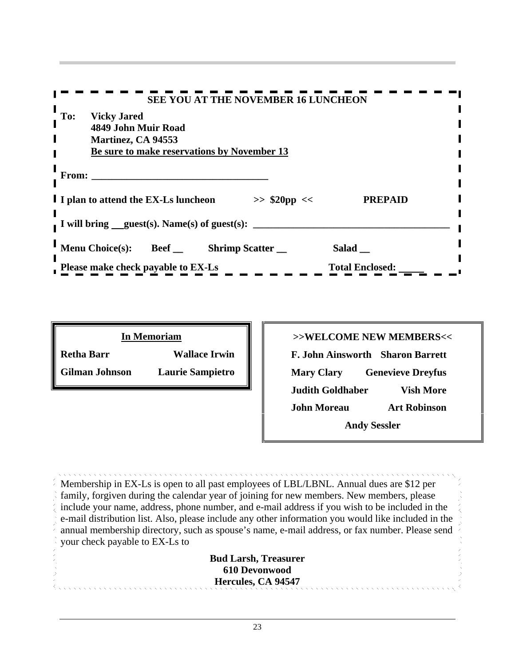| <b>SEE YOU AT THE NOVEMBER 16 LUNCHEON</b>                                            |  |
|---------------------------------------------------------------------------------------|--|
| To: Vicky Jared<br>4849 John Muir Road                                                |  |
| Martinez, CA 94553<br>Be sure to make reservations by November 13                     |  |
|                                                                                       |  |
| From:                                                                                 |  |
| I I plan to attend the EX-Ls luncheon<br><b>PREPAID</b><br>$\gg$ \$20pp <<            |  |
| I will bring guest(s). Name(s) of guest(s):                                           |  |
| Menu Choice(s):<br><b>Shrimp Scatter</b> __<br>$Salad$ <sub>—</sub><br>Beef $\_$      |  |
| <b>Total Enclosed:</b><br>$\overline{\phantom{a}}$ Please make check payable to EX-Ls |  |
|                                                                                       |  |
|                                                                                       |  |
| <b>In Memoriam</b><br>>>WELCOME NEW MEMBERS<<                                         |  |

|                   | <b>In Memoriam</b>      |
|-------------------|-------------------------|
| <b>Retha Barr</b> | <b>Wallace Irwin</b>    |
| Gilman Johnson    | <b>Laurie Sampietro</b> |

| <b>In Memoriam</b>                               | >>WELCOME NEW MEMBERS<<                       |
|--------------------------------------------------|-----------------------------------------------|
| <b>Retha Barr</b><br><b>Wallace Irwin</b>        | F. John Ainsworth Sharon Barrett              |
| <b>Gilman Johnson</b><br><b>Laurie Sampietro</b> | <b>Genevieve Dreyfus</b><br><b>Mary Clary</b> |
|                                                  | <b>Judith Goldhaber</b><br><b>Vish More</b>   |
|                                                  | <b>Art Robinson</b><br><b>John Moreau</b>     |
|                                                  | <b>Andy Sessler</b>                           |

Membership in EX-Ls is open to all past employees of LBL/LBNL. Annual dues are \$12 per family, forgiven during the calendar year of joining for new members. New members, please include your name, address, phone number, and e-mail address if you wish to be included in the e-mail distribution list. Also, please include any other information you would like included in the annual membership directory, such as spouse's name, e-mail address, or fax number. Please send your check payable to EX-Ls to

**Bud Larsh, Treasurer 610 Devonwood Hercules, CA 94547**